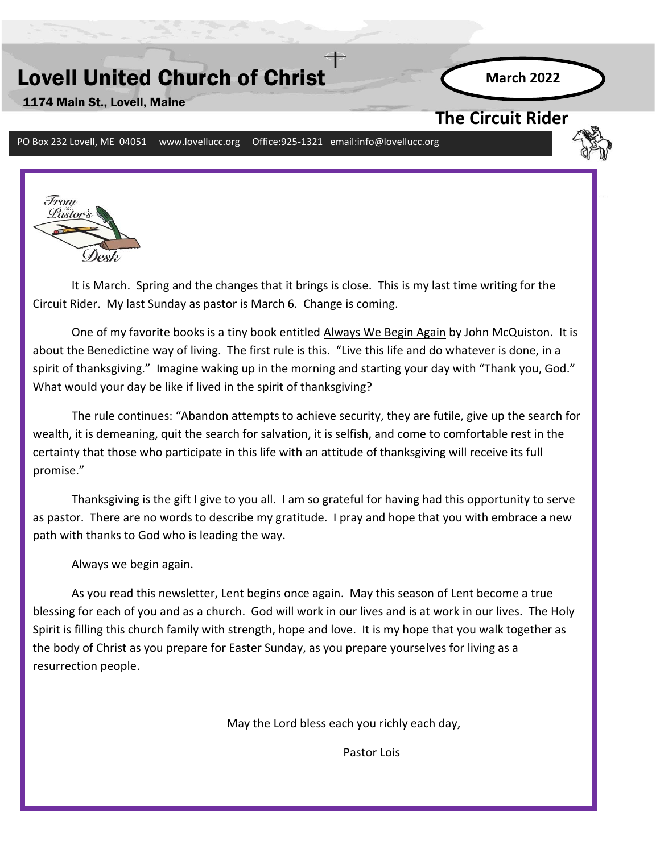# Lovell United Church of Christ

**March 2022**

### 1174 Main St., Lovell, Maine

**The Circuit Rider** 

PO Box 232 Lovell, ME 04051 www.lovellucc.org Office:925-1321 email:info@lovellucc.org



It is March. Spring and the changes that it brings is close. This is my last time writing for the Circuit Rider. My last Sunday as pastor is March 6. Change is coming.

One of my favorite books is a tiny book entitled Always We Begin Again by John McQuiston. It is about the Benedictine way of living. The first rule is this. "Live this life and do whatever is done, in a spirit of thanksgiving." Imagine waking up in the morning and starting your day with "Thank you, God." What would your day be like if lived in the spirit of thanksgiving?

**April 2018** The rule continues: "Abandon attempts to achieve security, they are futile, give up the search for wealth, it is demeaning, quit the search for salvation, it is selfish, and come to comfortable rest in the certainty that those who participate in this life with an attitude of thanksgiving will receive its full promise."

Thanksgiving is the gift I give to you all. I am so grateful for having had this opportunity to serve as pastor. There are no words to describe my gratitude. I pray and hope that you with embrace a new path with thanks to God who is leading the way.

Always we begin again.

Pastor Lois

As you read this newsletter, Lent begins once again. May this season of Lent become a true blessing for each of you and as a church. God will work in our lives and is at work in our lives. The Holy Spirit is filling this church family with strength, hope and love. It is my hope that you walk together as the body of Christ as you prepare for Easter Sunday, as you prepare yourselves for living as a resurrection people.

May the Lord bless each you richly each day,

Pastor Lois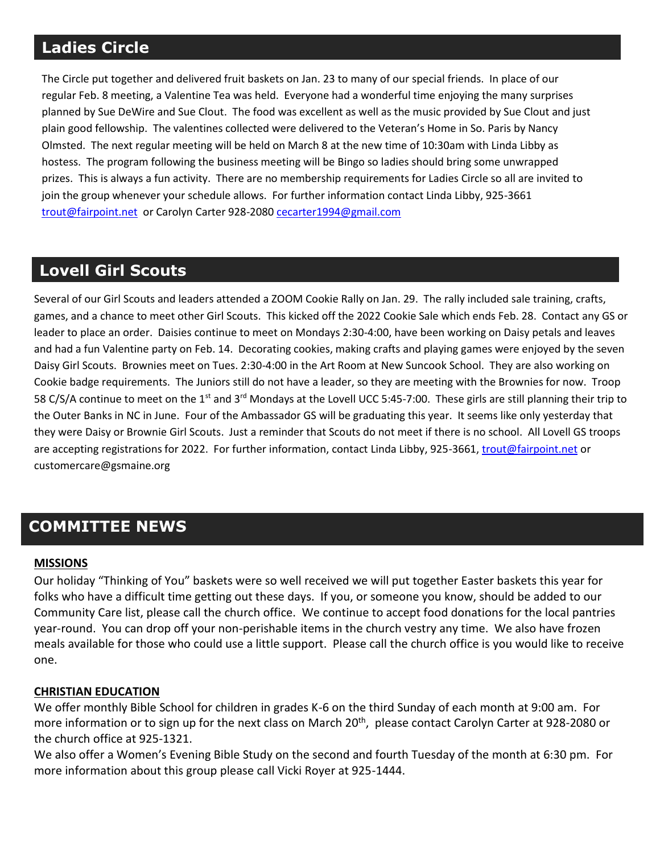# **Ladies Circle**

The Circle put together and delivered fruit baskets on Jan. 23 to many of our special friends. In place of our regular Feb. 8 meeting, a Valentine Tea was held. Everyone had a wonderful time enjoying the many surprises planned by Sue DeWire and Sue Clout. The food was excellent as well as the music provided by Sue Clout and just plain good fellowship. The valentines collected were delivered to the Veteran's Home in So. Paris by Nancy Olmsted. The next regular meeting will be held on March 8 at the new time of 10:30am with Linda Libby as hostess. The program following the business meeting will be Bingo so ladies should bring some unwrapped prizes. This is always a fun activity. There are no membership requirements for Ladies Circle so all are invited to join the group whenever your schedule allows. For further information contact Linda Libby, 925-3661 [trout@fairpoint.net](mailto:trout@fairpoint.net) or Carolyn Carter 928-208[0 cecarter1994@gmail.com](mailto:cecarter1994@gmail.com)

# Several of our Girl Scouts and leaders attended a ZOOM Cookie Rally on Jan. 29. The rally included sale training, crafts, **Lovell Girl Scouts**

Several of our Girl Scouts and leaders attended a ZOOM Cookie Rally on Jan. 29. The rally included sale training, crafts, games, and a chance to meet other Girl Scouts. This kicked off the 2022 Cookie Sale which ends Feb. 28. Contact any GS or leader to place an order. Daisies continue to meet on Mondays 2:30-4:00, have been working on Daisy petals and leaves and had a fun Valentine party on Feb. 14. Decorating cookies, making crafts and playing games were enjoyed by the seven Daisy Girl Scouts. Brownies meet on Tues. 2:30-4:00 in the Art Room at New Suncook School. They are also working on Cookie badge requirements. The Juniors still do not have a leader, so they are meeting with the Brownies for now. Troop 58 C/S/A continue to meet on the 1st and 3rd Mondays at the Lovell UCC 5:45-7:00. These girls are still planning their trip to the Outer Banks in NC in June. Four of the Ambassador GS will be graduating this year. It seems like only yesterday that they were Daisy or Brownie Girl Scouts. Just a reminder that Scouts do not meet if there is no school. All Lovell GS troops are accepting registrations for 2022. For further information, contact Linda Libby, 925-3661, [trout@fairpoint.net](mailto:trout@fairpoint.net) or customercare@gsmaine.org

# **COMMITTEE NEWS**

#### **MISSIONS**

Our holiday "Thinking of You" baskets were so well received we will put together Easter baskets this year for folks who have a difficult time getting out these days. If you, or someone you know, should be added to our Community Care list, please call the church office. We continue to accept food donations for the local pantries year-round. You can drop off your non-perishable items in the church vestry any time. We also have frozen meals available for those who could use a little support. Please call the church office is you would like to receive one.

#### **CHRISTIAN EDUCATION**

We offer monthly Bible School for children in grades K-6 on the third Sunday of each month at 9:00 am. For more information or to sign up for the next class on March 20<sup>th</sup>, please contact Carolyn Carter at 928-2080 or the church office at 925-1321.

We also offer a Women's Evening Bible Study on the second and fourth Tuesday of the month at 6:30 pm. For more information about this group please call Vicki Royer at 925-1444.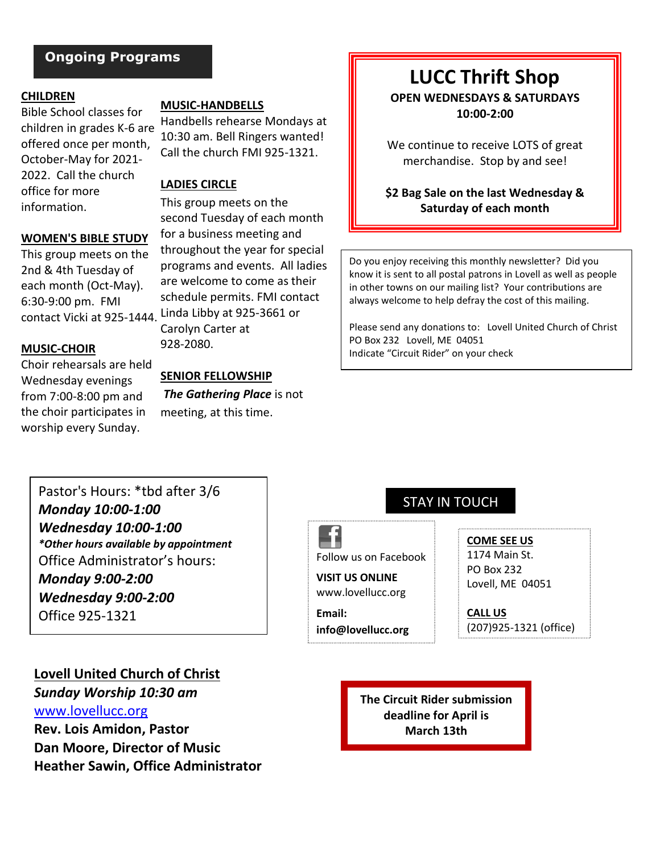### **Ongoing Programs**

#### **CHILDREN**

Bible School classes for children in grades K-6 are offered once per month, October-May for 2021- 2022. Call the church office for more information.

#### **WOMEN'S BIBLE STUDY**

This group meets on the 2nd & 4th Tuesday of each month (Oct-May). 6:30-9:00 pm. FMI

#### **MUSIC-CHOIR**

Choir rehearsals are held Wednesday evenings from 7:00-8:00 pm and the choir participates in worship every Sunday.

#### **MUSIC-HANDBELLS**

Handbells rehearse Mondays at 10:30 am. Bell Ringers wanted! Call the church FMI 925-1321.

#### **LADIES CIRCLE**

This group meets on the second Tuesday of each month for a business meeting and throughout the year for special programs and events. All ladies are welcome to come as their schedule permits. FMI contact contact Vicki at 925-1444. Linda Libby at 925-3661 or Carolyn Carter at 928-2080.

#### **SENIOR FELLOWSHIP**

*The Gathering Place* is not meeting, at this time.

# **LUCC Thrift Shop**

**OPEN WEDNESDAYS & SATURDAYS 10:00-2:00**

We continue to receive LOTS of great merchandise.Stop by and see!

**\$2 Bag Sale on the last Wednesday & Saturday of each month**

Do you enjoy receiving this monthly newsletter? Did you know it is sent to all postal patrons in Lovell as well as people in other towns on our mailing list? Your contributions are always welcome to help defray the cost of this mailing.

Please send any donations to: Lovell United Church of Christ PO Box 232 Lovell, ME 04051 Indicate "Circuit Rider" on your check

## Pastor's Hours: \*tbd after 3/6 *Monday 10:00-1:00 Wednesday 10:00-1:00 \*Other hours available by appointment* Office Administrator's hours: *Monday 9:00-2:00 Wednesday 9:00-2:00* Office 925-1321

#### **Lovell United Church of Christ**

*Sunday Worship 10:30 am* [www.lovellucc.org](http://www.lovellucc.org/) **Rev. Lois Amidon, Pastor Dan Moore, Director of Music**

**Heather Sawin, Office Administrator**

STAY IN TOUCH

Follow us on Facebook **VISIT US ONLINE**

www.lovellucc.org

**Email: info@lovellucc.org** **COME SEE US** 1174 Main St.

PO Box 232 Lovell, ME 04051

**CALL US** (207)925-1321 (office)

**The Circuit Rider submission deadline for April is March 13th**